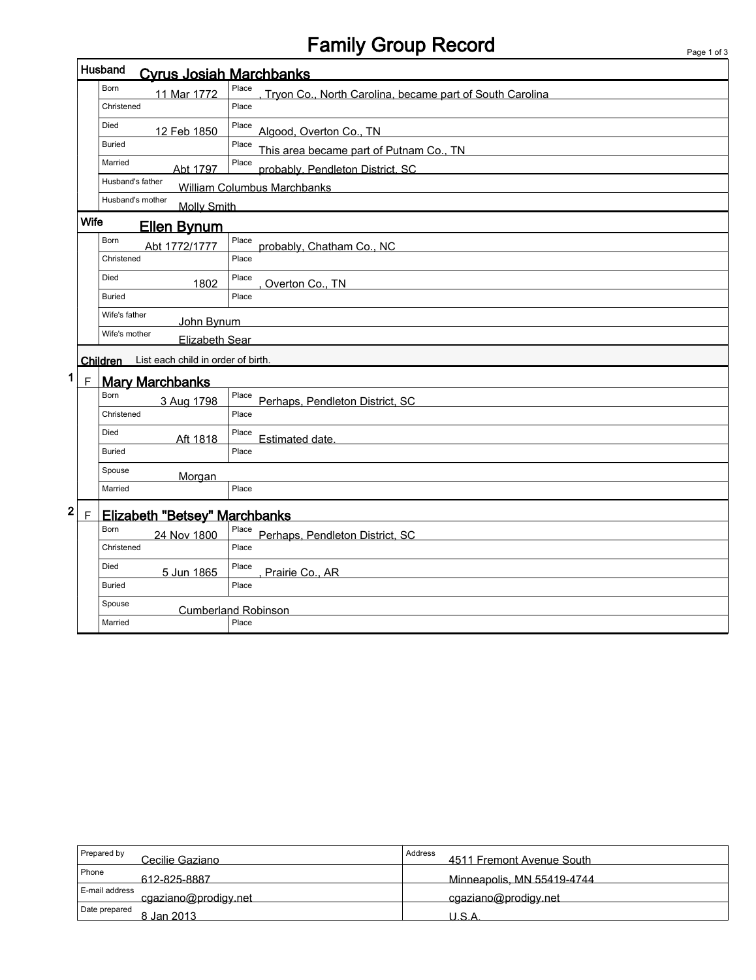# Family Group Record Page 1 of 3

|                                             |                                        | Husband<br><b>Cyrus Josiah Marchbanks</b> |                                                                   |  |  |  |  |
|---------------------------------------------|----------------------------------------|-------------------------------------------|-------------------------------------------------------------------|--|--|--|--|
|                                             |                                        | <b>Born</b><br>11 Mar 1772                | Place<br>Tryon Co., North Carolina, became part of South Carolina |  |  |  |  |
|                                             |                                        | Christened                                | Place                                                             |  |  |  |  |
|                                             |                                        | Died<br>12 Feb 1850                       | Place<br>Algood, Overton Co., TN                                  |  |  |  |  |
|                                             |                                        | <b>Buried</b>                             | Place<br>This area became part of Putnam Co., TN                  |  |  |  |  |
|                                             |                                        | Married<br>Abt 1797                       | Place<br>probably, Pendleton District, SC                         |  |  |  |  |
|                                             |                                        | Husband's father                          | William Columbus Marchbanks                                       |  |  |  |  |
|                                             |                                        | Husband's mother<br><b>Molly Smith</b>    |                                                                   |  |  |  |  |
| Wife<br><b>Ellen Bynum</b>                  |                                        |                                           |                                                                   |  |  |  |  |
|                                             |                                        | Born<br>Abt 1772/1777                     | Place<br>probably, Chatham Co., NC                                |  |  |  |  |
|                                             |                                        | Christened                                | Place                                                             |  |  |  |  |
|                                             |                                        | Died<br>1802                              | Place<br>Overton Co., TN                                          |  |  |  |  |
|                                             |                                        | <b>Buried</b>                             | Place                                                             |  |  |  |  |
|                                             |                                        | Wife's father<br>John Bynum               |                                                                   |  |  |  |  |
|                                             | Elizabeth Sear                         |                                           |                                                                   |  |  |  |  |
| Children List each child in order of birth. |                                        |                                           |                                                                   |  |  |  |  |
| 1                                           | <b>Mary Marchbanks</b><br>$\mathsf{F}$ |                                           |                                                                   |  |  |  |  |
|                                             |                                        | <b>Born</b><br>3 Aug 1798                 | Place<br>Perhaps, Pendleton District, SC                          |  |  |  |  |
|                                             |                                        | Christened                                | Place                                                             |  |  |  |  |
|                                             |                                        | Died<br>Aft 1818                          | Place<br>Estimated date.                                          |  |  |  |  |
|                                             |                                        | <b>Buried</b>                             | Place                                                             |  |  |  |  |
|                                             |                                        | Spouse<br>Morgan                          |                                                                   |  |  |  |  |
|                                             |                                        | Married                                   | Place                                                             |  |  |  |  |
| $\mathbf{2}$                                | $\mathsf F$                            | <b>Elizabeth "Betsey" Marchbanks</b>      |                                                                   |  |  |  |  |
|                                             |                                        | Born<br>24 Nov 1800                       | Place<br>Perhaps, Pendleton District, SC                          |  |  |  |  |
|                                             |                                        | Christened                                | Place                                                             |  |  |  |  |
|                                             |                                        |                                           |                                                                   |  |  |  |  |
|                                             |                                        | Died<br>5 Jun 1865                        | Place                                                             |  |  |  |  |
|                                             |                                        | <b>Buried</b>                             | Prairie Co., AR<br>Place                                          |  |  |  |  |
|                                             |                                        | Spouse                                    | <b>Cumberland Robinson</b>                                        |  |  |  |  |

| Prepared by<br>Cecilie Gaziano         | Address<br>4511 Fremont Avenue South |
|----------------------------------------|--------------------------------------|
| Phone<br>612-825-8887                  | Minneapolis, MN 55419-4744           |
| E-mail address<br>cgaziano@prodigy.net | cgaziano@prodigy.net                 |
| Date prepared<br>8 Jan 2013            | J.S.A                                |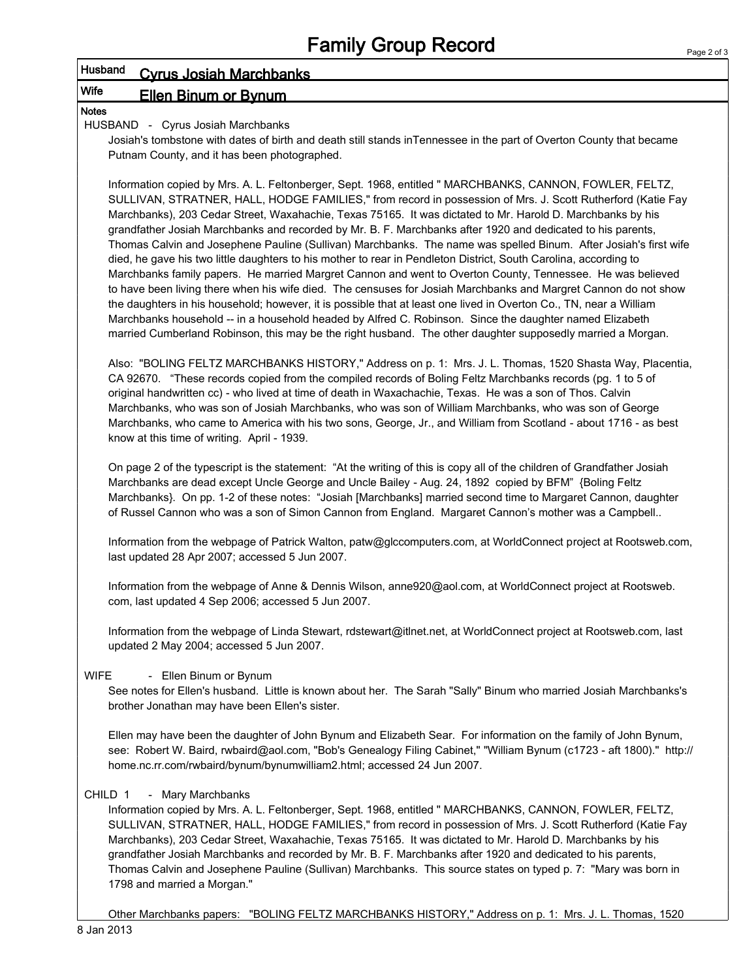# Husband Cyrus Josiah Marchbanks

# Wife **Ellen Binum or Bynum**

Notes

### HUSBAND - Cyrus Josiah Marchbanks

Josiah's tombstone with dates of birth and death still stands inTennessee in the part of Overton County that became Putnam County, and it has been photographed.

Information copied by Mrs. A. L. Feltonberger, Sept. 1968, entitled " MARCHBANKS, CANNON, FOWLER, FELTZ, SULLIVAN, STRATNER, HALL, HODGE FAMILIES," from record in possession of Mrs. J. Scott Rutherford (Katie Fay Marchbanks), 203 Cedar Street, Waxahachie, Texas 75165. It was dictated to Mr. Harold D. Marchbanks by his grandfather Josiah Marchbanks and recorded by Mr. B. F. Marchbanks after 1920 and dedicated to his parents, Thomas Calvin and Josephene Pauline (Sullivan) Marchbanks. The name was spelled Binum. After Josiah's first wife died, he gave his two little daughters to his mother to rear in Pendleton District, South Carolina, according to Marchbanks family papers. He married Margret Cannon and went to Overton County, Tennessee. He was believed to have been living there when his wife died. The censuses for Josiah Marchbanks and Margret Cannon do not show the daughters in his household; however, it is possible that at least one lived in Overton Co., TN, near a William Marchbanks household -- in a household headed by Alfred C. Robinson. Since the daughter named Elizabeth married Cumberland Robinson, this may be the right husband. The other daughter supposedly married a Morgan.

Also: "BOLING FELTZ MARCHBANKS HISTORY," Address on p. 1: Mrs. J. L. Thomas, 1520 Shasta Way, Placentia, CA 92670. "These records copied from the compiled records of Boling Feltz Marchbanks records (pg. 1 to 5 of original handwritten cc) - who lived at time of death in Waxachachie, Texas. He was a son of Thos. Calvin Marchbanks, who was son of Josiah Marchbanks, who was son of William Marchbanks, who was son of George Marchbanks, who came to America with his two sons, George, Jr., and William from Scotland - about 1716 - as best know at this time of writing. April - 1939.

On page 2 of the typescript is the statement: "At the writing of this is copy all of the children of Grandfather Josiah Marchbanks are dead except Uncle George and Uncle Bailey - Aug. 24, 1892 copied by BFM" {Boling Feltz Marchbanks}. On pp. 1-2 of these notes: "Josiah [Marchbanks] married second time to Margaret Cannon, daughter of Russel Cannon who was a son of Simon Cannon from England. Margaret Cannon's mother was a Campbell..

Information from the webpage of Patrick Walton, patw@glccomputers.com, at WorldConnect project at Rootsweb.com, last updated 28 Apr 2007; accessed 5 Jun 2007.

Information from the webpage of Anne & Dennis Wilson, anne920@aol.com, at WorldConnect project at Rootsweb. com, last updated 4 Sep 2006; accessed 5 Jun 2007.

Information from the webpage of Linda Stewart, rdstewart@itlnet.net, at WorldConnect project at Rootsweb.com, last updated 2 May 2004; accessed 5 Jun 2007.

## WIFE - Ellen Binum or Bynum

See notes for Ellen's husband. Little is known about her. The Sarah "Sally" Binum who married Josiah Marchbanks's brother Jonathan may have been Ellen's sister.

Ellen may have been the daughter of John Bynum and Elizabeth Sear. For information on the family of John Bynum, see: Robert W. Baird, rwbaird@aol.com, "Bob's Genealogy Filing Cabinet," "William Bynum (c1723 - aft 1800)." http:// home.nc.rr.com/rwbaird/bynum/bynumwilliam2.html; accessed 24 Jun 2007.

## CHILD 1 - Mary Marchbanks

Information copied by Mrs. A. L. Feltonberger, Sept. 1968, entitled " MARCHBANKS, CANNON, FOWLER, FELTZ, SULLIVAN, STRATNER, HALL, HODGE FAMILIES," from record in possession of Mrs. J. Scott Rutherford (Katie Fay Marchbanks), 203 Cedar Street, Waxahachie, Texas 75165. It was dictated to Mr. Harold D. Marchbanks by his grandfather Josiah Marchbanks and recorded by Mr. B. F. Marchbanks after 1920 and dedicated to his parents, Thomas Calvin and Josephene Pauline (Sullivan) Marchbanks. This source states on typed p. 7: "Mary was born in 1798 and married a Morgan."

Other Marchbanks papers: "BOLING FELTZ MARCHBANKS HISTORY," Address on p. 1: Mrs. J. L. Thomas, 1520